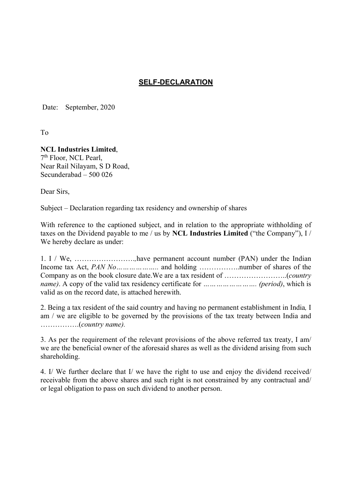## SELF-DECLARATION

Date: September, 2020

To

## NCL Industries Limited,

7<sup>th</sup> Floor, NCL Pearl, Near Rail Nilayam, S D Road, Secunderabad – 500 026

Dear Sirs,

Subject – Declaration regarding tax residency and ownership of shares

With reference to the captioned subject, and in relation to the appropriate withholding of taxes on the Dividend payable to me / us by NCL Industries Limited ("the Company"), I / We hereby declare as under:

1. I / We, …………………….,have permanent account number (PAN) under the Indian Income tax Act, PAN No……………….. and holding ……………..number of shares of the Company as on the book closure date.We are a tax resident of ……………………..(country name). A copy of the valid tax residency certificate for ……………………. (period), which is valid as on the record date, is attached herewith.

2. Being a tax resident of the said country and having no permanent establishment in India, I am / we are eligible to be governed by the provisions of the tax treaty between India and …………….(country name).

3. As per the requirement of the relevant provisions of the above referred tax treaty, I am/ we are the beneficial owner of the aforesaid shares as well as the dividend arising from such shareholding.

4. I/ We further declare that I/ we have the right to use and enjoy the dividend received/ receivable from the above shares and such right is not constrained by any contractual and/ or legal obligation to pass on such dividend to another person.